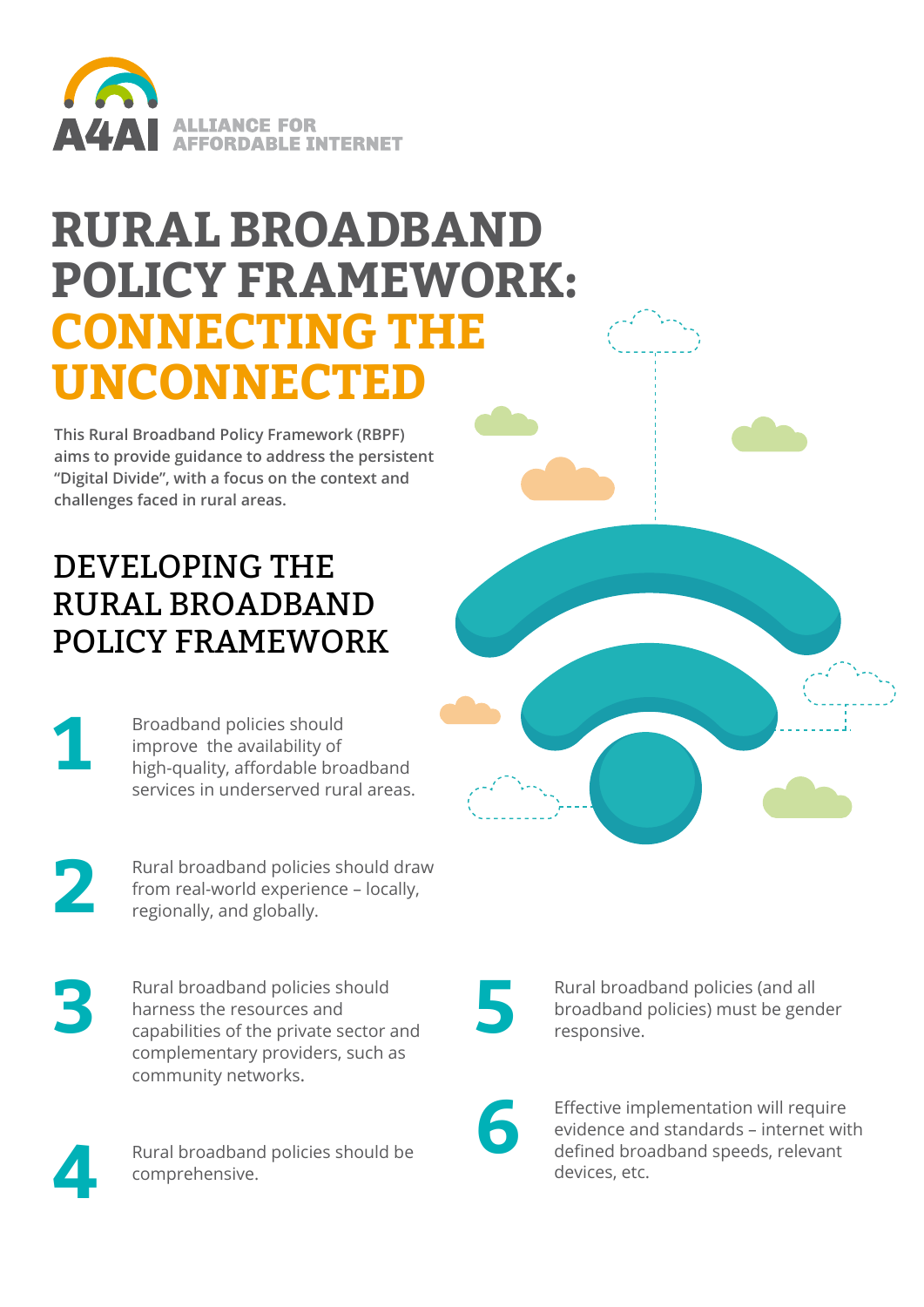

# **RURAL BROADBAND POLICY FRAMEWORK: CONNECTING THE UNCONNECTED**

**This Rural Broadband Policy Framework (RBPF) aims to provide guidance to address the persistent "Digital Divide", with a focus on the context and challenges faced in rural areas.** 

### DEVELOPING THE RURAL BROADBAND POLICY FRAMEWORK

**1**

Broadband policies should improve the availability of high-quality, affordable broadband services in underserved rural areas.

**2**

Rural broadband policies should draw from real-world experience – locally, regionally, and globally.

**3 5** Rural broadband policies should harness the resources and capabilities of the private sector and complementary providers, such as community networks.



Rural broadband policies should be comprehensive.

Rural broadband policies (and all broadband policies) must be gender responsive.



Effective implementation will require evidence and standards – internet with defined broadband speeds, relevant devices, etc.